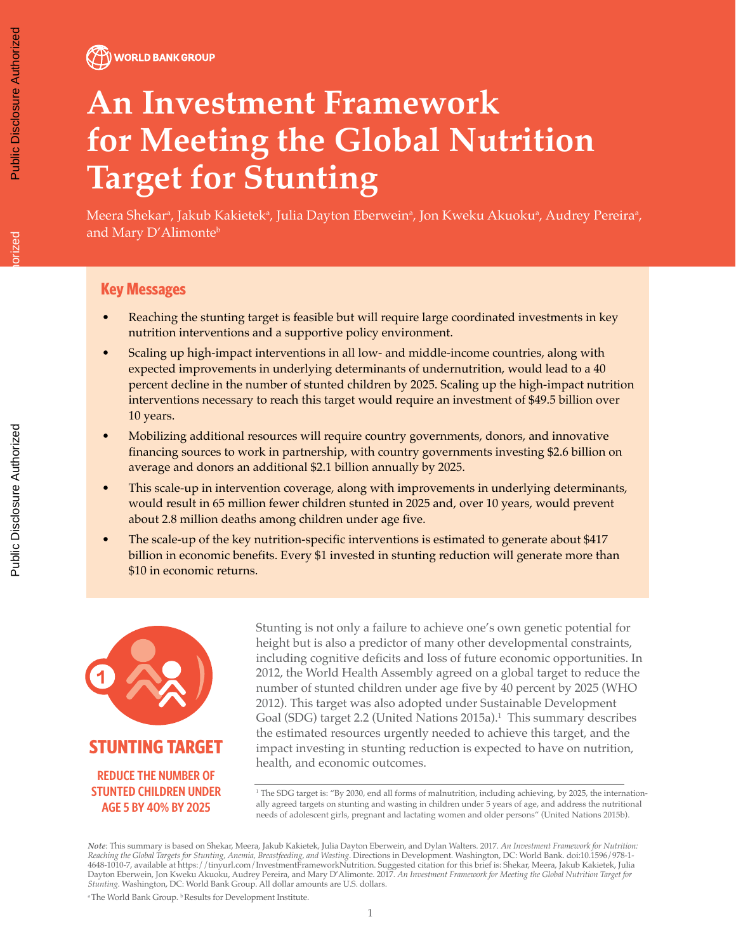# **An Investment Framework for Meeting the Global Nutrition Target for Stunting**

Meera Shekarª, Jakub Kakietekª, Julia Dayton Eberweinª, Jon Kweku Akuokuª, Audrey Pereiraª, and Mary D'Alimonte<sup>b</sup>

## **Key Messages**

- Reaching the stunting target is feasible but will require large coordinated investments in key nutrition interventions and a supportive policy environment.
- Scaling up high-impact interventions in all low- and middle-income countries, along with expected improvements in underlying determinants of undernutrition, would lead to a 40 percent decline in the number of stunted children by 2025. Scaling up the high-impact nutrition interventions necessary to reach this target would require an investment of \$49.5 billion over 10 years.
- Mobilizing additional resources will require country governments, donors, and innovative financing sources to work in partnership, with country governments investing \$2.6 billion on average and donors an additional \$2.1 billion annually by 2025.
- This scale-up in intervention coverage, along with improvements in underlying determinants, would result in 65 million fewer children stunted in 2025 and, over 10 years, would prevent about 2.8 million deaths among children under age five.
- The scale-up of the key nutrition-specific interventions is estimated to generate about \$417 billion in economic benefits. Every \$1 invested in stunting reduction will generate more than \$10 in economic returns.



Stunting is not only a failure to achieve one's own genetic potential for height but is also a predictor of many other developmental constraints, including cognitive deficits and loss of future economic opportunities. In 2012, the World Health Assembly agreed on a global target to reduce the number of stunted children under age five by 40 percent by 2025 (WHO 2012). This target was also adopted under Sustainable Development Goal (SDG) target 2.2 (United Nations 2015a).<sup>1</sup> This summary describes the estimated resources urgently needed to achieve this target, and the impact investing in stunting reduction is expected to have on nutrition, health, and economic outcomes.

<sup>1</sup> The SDG target is: "By 2030, end all forms of malnutrition, including achieving, by 2025, the internationally agreed targets on stunting and wasting in children under 5 years of age, and address the nutritional needs of adolescent girls, pregnant and lactating women and older persons" (United Nations 2015b).

<sup>a</sup>The World Bank Group. <sup>b</sup> Results for Development Institute.

Public Disclosure Authorized

*Note*: This summary is based on Shekar, Meera, Jakub Kakietek, Julia Dayton Eberwein, and Dylan Walters. 2017. *An Investment Framework for Nutrition: Reaching the Global Targets for Stunting, Anemia, Breastfeeding, and Wasting*. Directions in Development. Washington, DC: World Bank. doi:10.1596/978-1- 4648-1010-7, available at https://tinyurl.com/InvestmentFrameworkNutrition. Suggested citation for this brief is: Shekar, Meera, Jakub Kakietek, Julia Dayton Eberwein, Jon Kweku Akuoku, Audrey Pereira, and Mary D'Alimonte. 2017. *An Investment Framework for Meeting the Global Nutrition Target for Stunting.* Washington, DC: World Bank Group. All dollar amounts are U.S. dollars.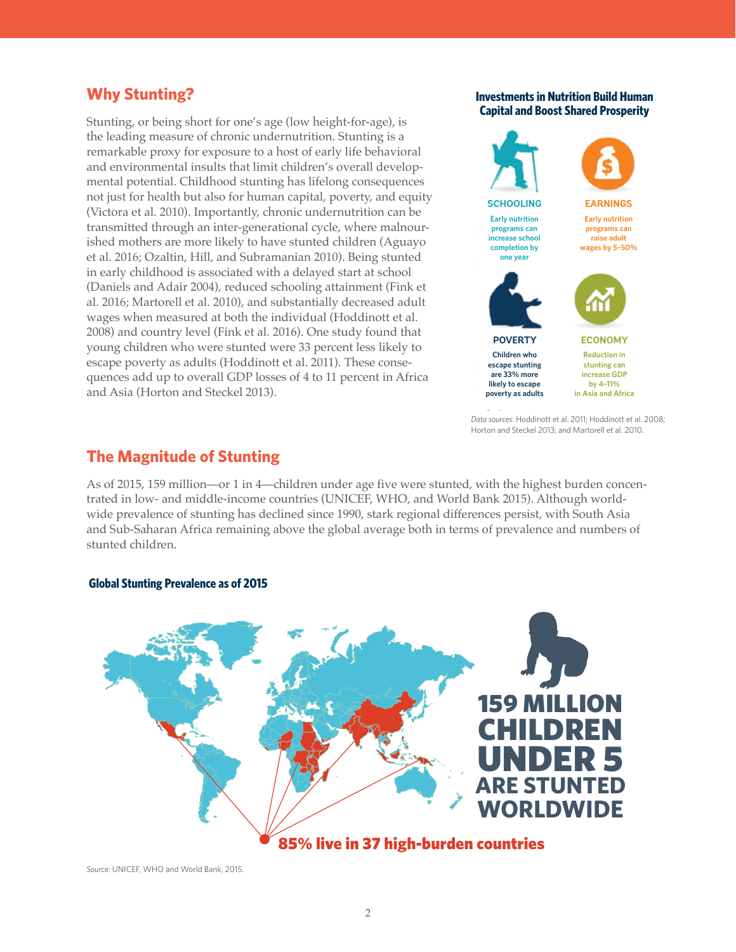# **Why Stunting?**

Stunting, or being short for one's age (low height-for-age), is the leading measure of chronic undernutrition. Stunting is a remarkable proxy for exposure to a host of early life behavioral and environmental insults that limit children's overall developmental potential. Childhood stunting has lifelong consequences not just for health but also for human capital, poverty, and equity (Victora et al. 2010). Importantly, chronic undernutrition can be transmitted through an inter-generational cycle, where malnourished mothers are more likely to have stunted children (Aguayo et al. 2016; Ozaltin, Hill, and Subramanian 2010). Being stunted in early childhood is associated with a delayed start at school (Daniels and Adair 2004), reduced schooling attainment (Fink et al. 2016; Martorell et al. 2010), and substantially decreased adult wages when measured at both the individual (Hoddinott et al. 2008) and country level (Fink et al. 2016). One study found that **EXAMPLE COUNTSPAND CONSTRAINS CONSTRAINS CONSTRAINS SERVICE CONSTRAINS** escape poverty as adults (Hoddinott et al. 2011). These conse**quences add up to overall GDP losses of 4 to 11 percent in Africa** and Asia (Horton and Steckel 2013).

#### **Investments in Nutrition Build Human Capital and Boost Shared Prosperity**



*Data sources:* Hoddinott et al. 2011; Hoddinott et al. 2008; Horton and Steckel 2013; and Martorell et al. 2010.

# **The Magnitude of Stunting**

As of 2015, 159 million—or 1 in 4—children under age five were stunted, with the highest burden concentrated in low- and middle-income countries (UNICEF, WHO, and World Bank 2015). Although worldwide prevalence of stunting has declined since 1990, stark regional differences persist, with South Asia and Sub-Saharan Africa remaining above the global average both in terms of prevalence and numbers of stunted children.



#### **Global Stunting Prevalence as of 2015**

*Source:* UNICEF, WHO and World Bank, 2015.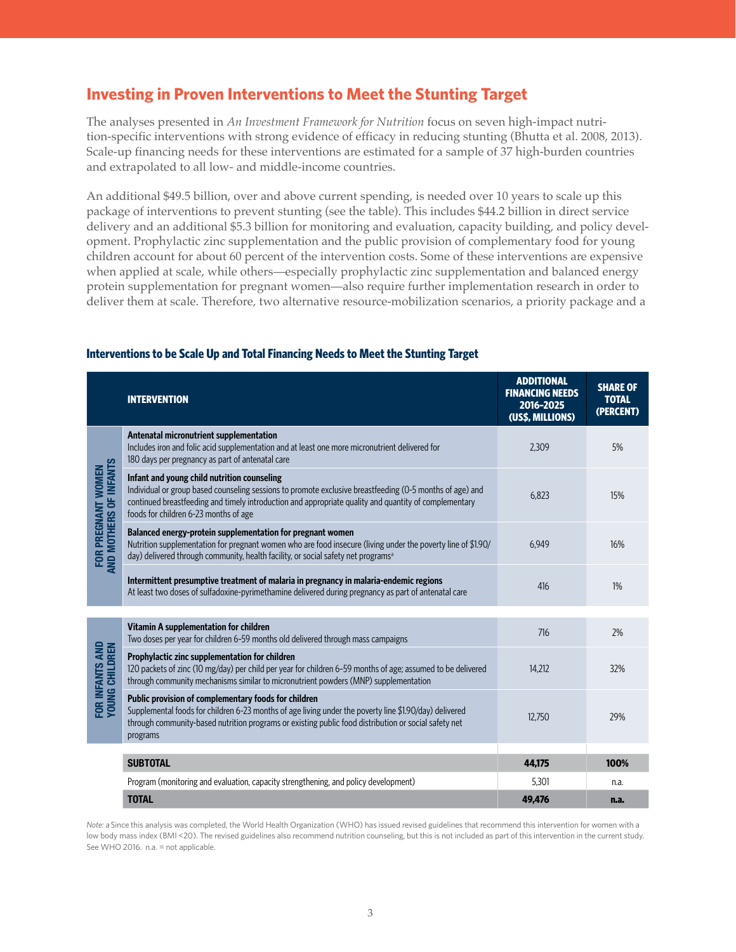# **Investing in Proven Interventions to Meet the Stunting Target**

The analyses presented in *An Investment Framework for Nutrition* focus on seven high-impact nutrition-specific interventions with strong evidence of efficacy in reducing stunting (Bhutta et al. 2008, 2013). Scale-up financing needs for these interventions are estimated for a sample of 37 high-burden countries and extrapolated to all low- and middle-income countries.

An additional \$49.5 billion, over and above current spending, is needed over 10 years to scale up this package of interventions to prevent stunting (see the table). This includes \$44.2 billion in direct service delivery and an additional \$5.3 billion for monitoring and evaluation, capacity building, and policy development. Prophylactic zinc supplementation and the public provision of complementary food for young children account for about 60 percent of the intervention costs. Some of these interventions are expensive when applied at scale, while others—especially prophylactic zinc supplementation and balanced energy protein supplementation for pregnant women—also require further implementation research in order to deliver them at scale. Therefore, two alternative resource-mobilization scenarios, a priority package and a

|                                              | <b>INTERVENTION</b>                                                                                                                                                                                                                                                                                       | <b>ADDITIONAL</b><br><b>FINANCING NEEDS</b><br>2016-2025<br>(US\$, MILLIONS) | <b>SHARE OF</b><br><b>TOTAL</b><br>(PERCENT) |
|----------------------------------------------|-----------------------------------------------------------------------------------------------------------------------------------------------------------------------------------------------------------------------------------------------------------------------------------------------------------|------------------------------------------------------------------------------|----------------------------------------------|
| AND MOTHERS OF INFANTS<br>FOR PREGNANT WOMEN | Antenatal micronutrient supplementation<br>Includes iron and folic acid supplementation and at least one more micronutrient delivered for<br>180 days per pregnancy as part of antenatal care                                                                                                             | 2.309                                                                        | 5%                                           |
|                                              | Infant and young child nutrition counseling<br>Individual or group based counseling sessions to promote exclusive breastfeeding (0-5 months of age) and<br>continued breastfeeding and timely introduction and appropriate quality and quantity of complementary<br>foods for children 6-23 months of age | 6.823                                                                        | 15%                                          |
|                                              | Balanced energy-protein supplementation for pregnant women<br>Nutrition supplementation for pregnant women who are food insecure (living under the poverty line of \$1.90/<br>day) delivered through community, health facility, or social safety net programs <sup>a</sup>                               | 6.949                                                                        | 16%                                          |
|                                              | Intermittent presumptive treatment of malaria in pregnancy in malaria-endemic regions<br>At least two doses of sulfadoxine-pyrimethamine delivered during pregnancy as part of antenatal care                                                                                                             | 416                                                                          | $1\%$                                        |
| FOR INFANTS AND<br><b>YOUNG CHILDREN</b>     | Vitamin A supplementation for children<br>Two doses per year for children 6-59 months old delivered through mass campaigns                                                                                                                                                                                | 716                                                                          | 2%                                           |
|                                              | Prophylactic zinc supplementation for children<br>120 packets of zinc (10 mg/day) per child per year for children 6-59 months of age; assumed to be delivered<br>through community mechanisms similar to micronutrient powders (MNP) supplementation                                                      | 14,212                                                                       | 32%                                          |
|                                              | Public provision of complementary foods for children<br>Supplemental foods for children 6-23 months of age living under the poverty line \$1.90/day) delivered<br>through community-based nutrition programs or existing public food distribution or social safety net<br>programs                        | 12,750                                                                       | 29%                                          |
|                                              | <b>SUBTOTAL</b>                                                                                                                                                                                                                                                                                           | 44,175                                                                       | 100%                                         |
|                                              | Program (monitoring and evaluation, capacity strengthening, and policy development)                                                                                                                                                                                                                       | 5.301                                                                        | n.a.                                         |
|                                              | <b>TOTAL</b>                                                                                                                                                                                                                                                                                              | 49,476                                                                       | n.a.                                         |

#### **Interventions to be Scale Up and Total Financing Needs to Meet the Stunting Target**

*Note:* aSince this analysis was completed, the World Health Organization (WHO) has issued revised guidelines that recommend this intervention for women with a low body mass index (BMI <20). The revised guidelines also recommend nutrition counseling, but this is not included as part of this intervention in the current study. See WHO 2016. n.a. = not applicable.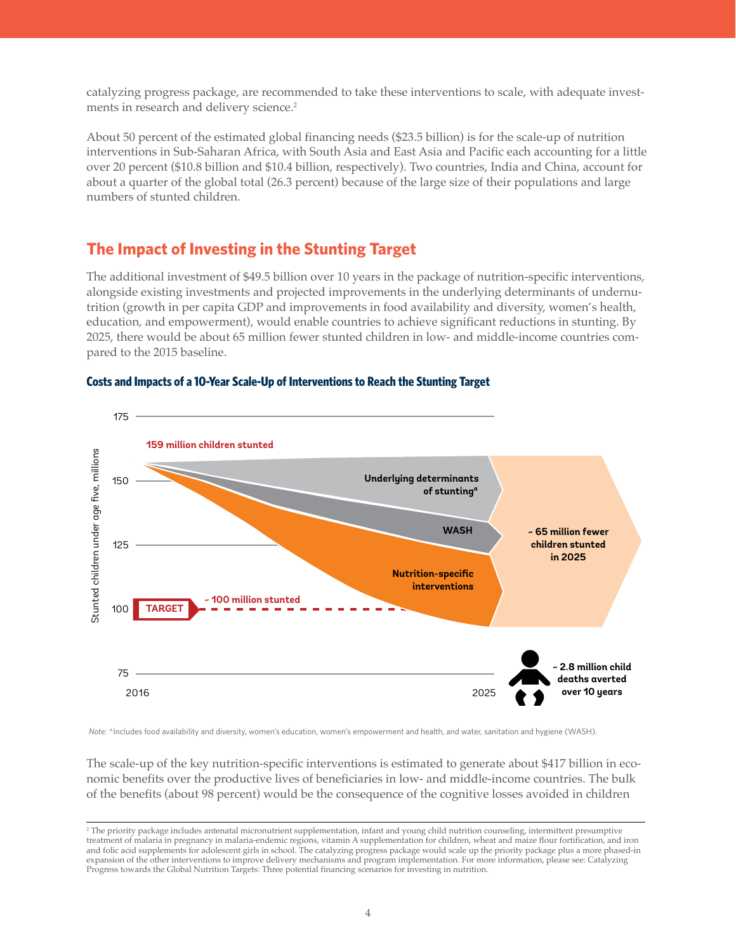catalyzing progress package, are recommended to take these interventions to scale, with adequate investments in research and delivery science.<sup>2</sup>

About 50 percent of the estimated global financing needs (\$23.5 billion) is for the scale-up of nutrition interventions in Sub-Saharan Africa, with South Asia and East Asia and Pacific each accounting for a little over 20 percent (\$10.8 billion and \$10.4 billion, respectively). Two countries, India and China, account for about a quarter of the global total (26.3 percent) because of the large size of their populations and large numbers of stunted children.

# **The Impact of Investing in the Stunting Target**

The additional investment of \$49.5 billion over 10 years in the package of nutrition-specific interventions, alongside existing investments and projected improvements in the underlying determinants of undernutrition (growth in per capita GDP and improvements in food availability and diversity, women's health, education, and empowerment), would enable countries to achieve significant reductions in stunting. By 2025, there would be about 65 million fewer stunted children in low- and middle-income countries compared to the 2015 baseline.



### **Costs and Impacts of a 10-Year Scale-Up of Interventions to Reach the Stunting Target**

*Note:* <sup>a</sup>.Includes food availability and diversity, women's education, women's empowerment and health, and water, sanitation and hygiene (WASH).

The scale-up of the key nutrition-specific interventions is estimated to generate about \$417 billion in economic benefits over the productive lives of beneficiaries in low- and middle-income countries. The bulk of the benefits (about 98 percent) would be the consequence of the cognitive losses avoided in children

<sup>2</sup> The priority package includes antenatal micronutrient supplementation, infant and young child nutrition counseling, intermittent presumptive treatment of malaria in pregnancy in malaria-endemic regions, vitamin A supplementation for children, wheat and maize flour fortification, and iron and folic acid supplements for adolescent girls in school. The catalyzing progress package would scale up the priority package plus a more phased-in expansion of the other interventions to improve delivery mechanisms and program implementation. For more information, please see: Catalyzing Progress towards the Global Nutrition Targets: Three potential financing scenarios for investing in nutrition.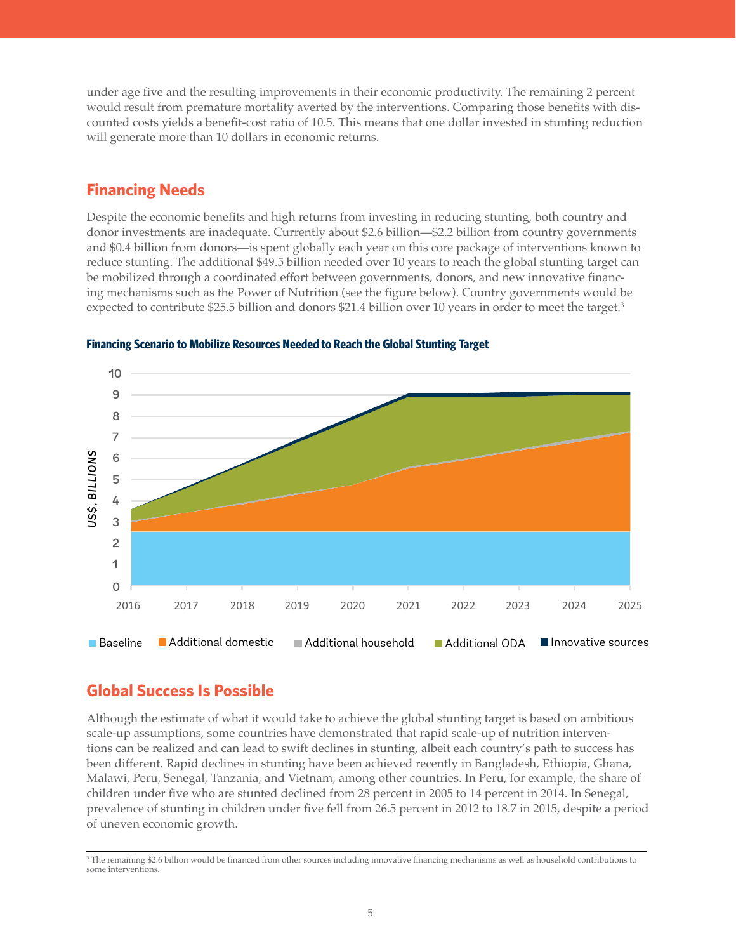under age five and the resulting improvements in their economic productivity. The remaining 2 percent would result from premature mortality averted by the interventions. Comparing those benefits with discounted costs yields a benefit-cost ratio of 10.5. This means that one dollar invested in stunting reduction will generate more than 10 dollars in economic returns.

# **Financing Needs**

Despite the economic benefits and high returns from investing in reducing stunting, both country and donor investments are inadequate. Currently about \$2.6 billion—\$2.2 billion from country governments and \$0.4 billion from donors—is spent globally each year on this core package of interventions known to reduce stunting. The additional \$49.5 billion needed over 10 years to reach the global stunting target can be mobilized through a coordinated effort between governments, donors, and new innovative financing mechanisms such as the Power of Nutrition (see the figure below). Country governments would be expected to contribute \$25.5 billion and donors \$21.4 billion over 10 years in order to meet the target.<sup>3</sup>



#### **Financing Scenario to Mobilize Resources Needed to Reach the Global Stunting Target**

## **Global Success Is Possible**

Although the estimate of what it would take to achieve the global stunting target is based on ambitious scale-up assumptions, some countries have demonstrated that rapid scale-up of nutrition interventions can be realized and can lead to swift declines in stunting, albeit each country's path to success has been different. Rapid declines in stunting have been achieved recently in Bangladesh, Ethiopia, Ghana, Malawi, Peru, Senegal, Tanzania, and Vietnam, among other countries. In Peru, for example, the share of children under five who are stunted declined from 28 percent in 2005 to 14 percent in 2014. In Senegal, prevalence of stunting in children under five fell from 26.5 percent in 2012 to 18.7 in 2015, despite a period of uneven economic growth.

<sup>3</sup> The remaining \$2.6 billion would be financed from other sources including innovative financing mechanisms as well as household contributions to some interventions.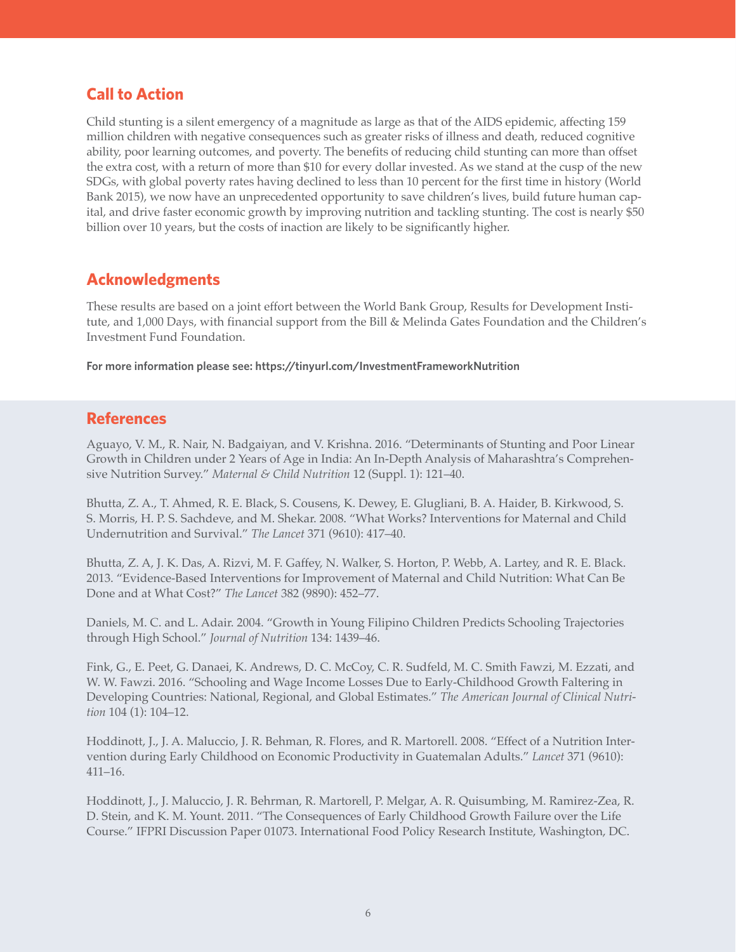# **Call to Action**

Child stunting is a silent emergency of a magnitude as large as that of the AIDS epidemic, affecting 159 million children with negative consequences such as greater risks of illness and death, reduced cognitive ability, poor learning outcomes, and poverty. The benefits of reducing child stunting can more than offset the extra cost, with a return of more than \$10 for every dollar invested. As we stand at the cusp of the new SDGs, with global poverty rates having declined to less than 10 percent for the first time in history (World Bank 2015), we now have an unprecedented opportunity to save children's lives, build future human capital, and drive faster economic growth by improving nutrition and tackling stunting. The cost is nearly \$50 billion over 10 years, but the costs of inaction are likely to be significantly higher.

# **Acknowledgments**

These results are based on a joint effort between the World Bank Group, Results for Development Institute, and 1,000 Days, with financial support from the Bill & Melinda Gates Foundation and the Children's Investment Fund Foundation.

**For more information please see: https://tinyurl.com/InvestmentFrameworkNutrition**

## **References**

Aguayo, V. M., R. Nair, N. Badgaiyan, and V. Krishna. 2016. "Determinants of Stunting and Poor Linear Growth in Children under 2 Years of Age in India: An In-Depth Analysis of Maharashtra's Comprehensive Nutrition Survey." *Maternal & Child Nutrition* 12 (Suppl. 1): 121–40.

Bhutta, Z. A., T. Ahmed, R. E. Black, S. Cousens, K. Dewey, E. Glugliani, B. A. Haider, B. Kirkwood, S. S. Morris, H. P. S. Sachdeve, and M. Shekar. 2008. "What Works? Interventions for Maternal and Child Undernutrition and Survival." *The Lancet* 371 (9610): 417–40.

Bhutta, Z. A, J. K. Das, A. Rizvi, M. F. Gaffey, N. Walker, S. Horton, P. Webb, A. Lartey, and R. E. Black. 2013. "Evidence-Based Interventions for Improvement of Maternal and Child Nutrition: What Can Be Done and at What Cost?" *The Lancet* 382 (9890): 452–77.

Daniels, M. C. and L. Adair. 2004. "Growth in Young Filipino Children Predicts Schooling Trajectories through High School." *Journal of Nutrition* 134: 1439–46.

Fink, G., E. Peet, G. Danaei, K. Andrews, D. C. McCoy, C. R. Sudfeld, M. C. Smith Fawzi, M. Ezzati, and W. W. Fawzi. 2016. "Schooling and Wage Income Losses Due to Early-Childhood Growth Faltering in Developing Countries: National, Regional, and Global Estimates." *The American Journal of Clinical Nutrition* 104 (1): 104–12.

Hoddinott, J., J. A. Maluccio, J. R. Behman, R. Flores, and R. Martorell. 2008. "Effect of a Nutrition Intervention during Early Childhood on Economic Productivity in Guatemalan Adults." *Lancet* 371 (9610): 411–16.

Hoddinott, J., J. Maluccio, J. R. Behrman, R. Martorell, P. Melgar, A. R. Quisumbing, M. Ramirez-Zea, R. D. Stein, and K. M. Yount. 2011. "The Consequences of Early Childhood Growth Failure over the Life Course." IFPRI Discussion Paper 01073. International Food Policy Research Institute, Washington, DC.